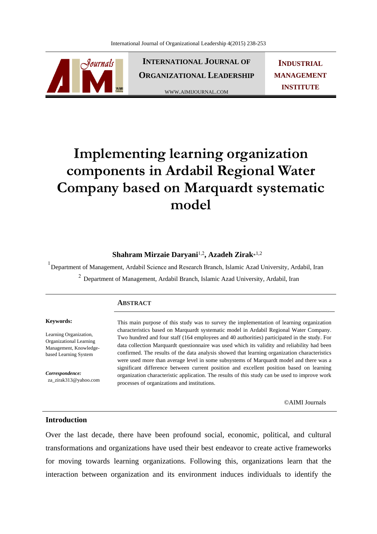

**INTERNATIONAL JOURNAL OF ORGANIZATIONAL LEADERSHIP**

WWW.AIMIJOURNAL.COM

**INDUSTRIAL MANAGEMENT INSTITUTE**

# **Implementing learning organization components in Ardabil Regional Water Company based on Marquardt systematic model**

# **Shahram Mirzaie Daryani**1,2 **, Azadeh Zirak**\* 1,2

<sup>1</sup> Department of Management, Ardabil Science and Research Branch, Islamic Azad University, Ardabil, Iran <sup>2</sup> Department of Management, Ardabil Branch, Islamic Azad University, Ardabil, Iran

#### **ABSTRACT**

#### **Keywords:**

Learning Organization, Organizational Learning Management, Knowledgebased Learning System

*Correspondence:*  za\_zirak313@yahoo.com This main purpose of this study was to survey the implementation of learning organization characteristics based on Marquardt systematic model in Ardabil Regional Water Company. Two hundred and four staff (164 employees and 40 authorities) participated in the study. For data collection Marquardt questionnaire was used which its validity and reliability had been confirmed. The results of the data analysis showed that learning organization characteristics were used more than average level in some subsystems of Marquardt model and there was a significant difference between current position and excellent position based on learning organization characteristic application. The results of this study can be used to improve work processes of organizations and institutions.

©AIMI Journals

#### **Introduction**

Over the last decade, there have been profound social, economic, political, and cultural transformations and organizations have used their best endeavor to create active frameworks for moving towards learning organizations. Following this, organizations learn that the interaction between organization and its environment induces individuals to identify the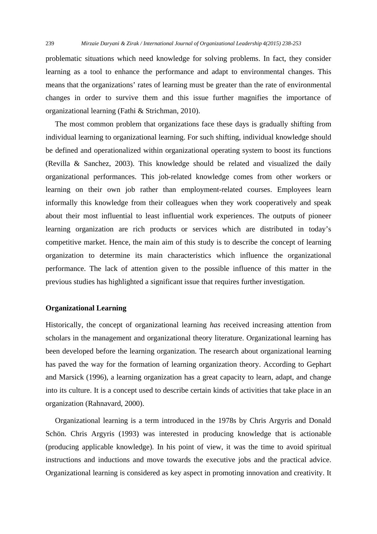problematic situations which need knowledge for solving problems. In fact, they consider learning as a tool to enhance the performance and adapt to environmental changes. This means that the organizations' rates of learning must be greater than the rate of environmental changes in order to survive them and this issue further magnifies the importance of organizational learning (Fathi & Strichman, 2010).

 The most common problem that organizations face these days is gradually shifting from individual learning to organizational learning. For such shifting, individual knowledge should be defined and operationalized within organizational operating system to boost its functions (Revilla & Sanchez, 2003). This knowledge should be related and visualized the daily organizational performances. This job-related knowledge comes from other workers or learning on their own job rather than employment-related courses. Employees learn informally this knowledge from their colleagues when they work cooperatively and speak about their most influential to least influential work experiences. The outputs of pioneer learning organization are rich products or services which are distributed in today's competitive market. Hence, the main aim of this study is to describe the concept of learning organization to determine its main characteristics which influence the organizational performance. The lack of attention given to the possible influence of this matter in the previous studies has highlighted a significant issue that requires further investigation.

# **Organizational Learning**

Historically, the concept of organizational learning *has* received increasing attention from scholars in the management and organizational theory literature. Organizational learning has been developed before the learning organization. The research about organizational learning has paved the way for the formation of learning organization theory. According to Gephart and Marsick (1996), a learning organization has a great capacity to learn, adapt, and change into its culture. It is a concept used to describe certain kinds of activities that take place in an organization (Rahnavard, 2000).

 Organizational learning is a term introduced in the 1978s by Chris Argyris and Donald Schön. Chris Argyris (1993) was interested in producing knowledge that is actionable (producing applicable knowledge)*.* In his point of view, it was the time to avoid spiritual instructions and inductions and move towards the executive jobs and the practical advice. Organizational learning is considered as key aspect in promoting innovation and creativity. It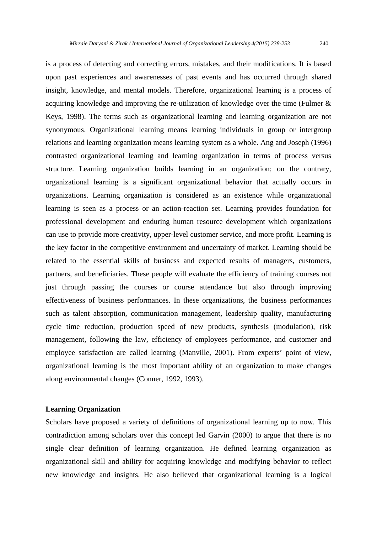is a process of detecting and correcting errors, mistakes, and their modifications. It is based upon past experiences and awarenesses of past events and has occurred through shared insight, knowledge, and mental models. Therefore, organizational learning is a process of acquiring knowledge and improving the re-utilization of knowledge over the time (Fulmer & Keys, 1998). The terms such as organizational learning and learning organization are not synonymous. Organizational learning means learning individuals in group or intergroup relations and learning organization means learning system as a whole. Ang and Joseph (1996) contrasted organizational learning and learning organization in terms of process versus structure. Learning organization builds learning in an organization; on the contrary, organizational learning is a significant organizational behavior that actually occurs in organizations. Learning organization is considered as an existence while organizational learning is seen as a process or an action-reaction set. Learning provides foundation for professional development and enduring human resource development which organizations can use to provide more creativity, upper-level customer service, and more profit. Learning is the key factor in the competitive environment and uncertainty of market. Learning should be related to the essential skills of business and expected results of managers, customers, partners, and beneficiaries. These people will evaluate the efficiency of training courses not just through passing the courses or course attendance but also through improving effectiveness of business performances. In these organizations, the business performances such as talent absorption, communication management, leadership quality, manufacturing cycle time reduction, production speed of new products, synthesis (modulation), risk management, following the law, efficiency of employees performance, and customer and employee satisfaction are called learning (Manville, 2001). From experts' point of view, organizational learning is the most important ability of an organization to make changes along environmental changes (Conner, 1992, 1993).

## **Learning Organization**

Scholars have proposed a variety of definitions of organizational learning up to now*.* This contradiction among scholars over this concept led Garvin (2000) to argue that there is no single clear definition of learning organization. He defined learning organization as organizational skill and ability for acquiring knowledge and modifying behavior to reflect new knowledge and insights. He also believed that organizational learning is a logical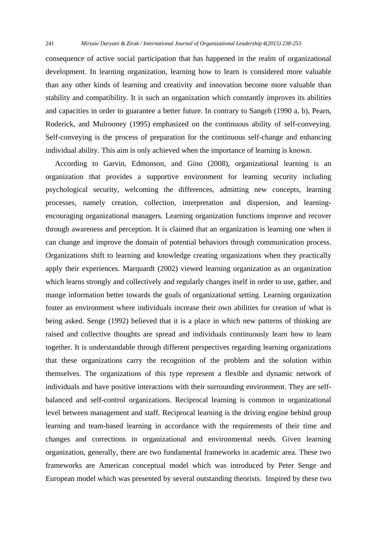consequence of active social participation that has happened in the realm of organizational development. In learning organization, learning how to learn is considered more valuable than any other kinds of learning and creativity and innovation become more valuable than stability and compatibility. It is such an organization which constantly improves its abilities and capacities in order to guarantee a better future. In contrary to Sangeh (1990 a, b), Pearn, Roderick, and Mulrooney (1995) emphasized on the continuous ability of self-conveying. Self-conveying is the process of preparation for the continuous self-change and enhancing individual ability. This aim is only achieved when the importance of learning is known.

 According to Garvin, Edmonson, and Gino (2008), organizational learning is an organization that provides a supportive environment for learning security including psychological security, welcoming the differences, admitting new concepts, learning processes, namely creation, collection, interpretation and dispersion, and learningencouraging organizational managers. Learning organization functions improve and recover through awareness and perception. It is claimed that an organization is learning one when it can change and improve the domain of potential behaviors through communication process. Organizations shift to learning and knowledge creating organizations when they practically apply their experiences. Marquardt (2002) viewed learning organization as an organization which learns strongly and collectively and regularly changes itself in order to use, gather, and mange information better towards the goals of organizational setting. Learning organization foster an environment where individuals increase their own abilities for creation of what is being asked. Senge (1992) believed that it is a place in which new patterns of thinking are raised and collective thoughts are spread and individuals continuously learn how to learn together. It is understandable through different perspectives regarding learning organizations that these organizations carry the recognition of the problem and the solution within themselves*.* The organizations of this type represent a flexible and dynamic network of individuals and have positive interactions with their surrounding environment. They are selfbalanced and self-control organizations. Reciprocal learning is common in organizational level between management and staff. Reciprocal learning is the driving engine behind group learning and team-based learning in accordance with the requirements of their time and changes and corrections in organizational and environmental needs. Given learning organization, generally, there are two fundamental frameworks in academic area. These two frameworks are American conceptual model which was introduced by Peter Senge and European model which was presented by several outstanding theorists. Inspired by these two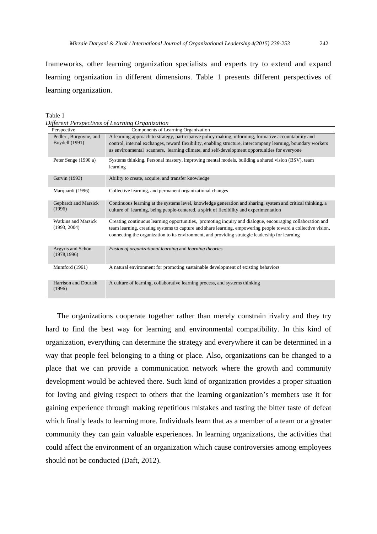frameworks, other learning organization specialists and experts try to extend and expand learning organization in different dimensions. Table 1 presents different perspectives of learning organization.

*Different Perspectives of Learning Organization* 

| Perspective                                    | Components of Learning Organization                                                                                                                                                                                                                                                                                          |
|------------------------------------------------|------------------------------------------------------------------------------------------------------------------------------------------------------------------------------------------------------------------------------------------------------------------------------------------------------------------------------|
| Pedler, Burgoyne, and<br><b>Boydell</b> (1991) | A learning approach to strategy, participative policy making, informing, formative accountability and<br>control, internal exchanges, reward flexibility, enabling structure, intercompany learning, boundary workers<br>as environmental scanners, learning climate, and self-development opportunities for everyone        |
| Peter Senge (1990 a)                           | Systems thinking, Personal mastery, improving mental models, building a shared vision (BSV), team<br>learning                                                                                                                                                                                                                |
| Garvin (1993)                                  | Ability to create, acquire, and transfer knowledge                                                                                                                                                                                                                                                                           |
| Marquardt (1996)                               | Collective learning, and permanent organizational changes                                                                                                                                                                                                                                                                    |
| Gephardt and Marsick<br>(1996)                 | Continuous learning at the systems level, knowledge generation and sharing, system and critical thinking, a<br>culture of learning, being people-centered, a spirit of flexibility and experimentation                                                                                                                       |
| <b>Watkins and Marsick</b><br>(1993, 2004)     | Creating continuous learning opportunities, promoting inquiry and dialogue, encouraging collaboration and<br>team learning, creating systems to capture and share learning, empowering people toward a collective vision,<br>connecting the organization to its environment, and providing strategic leadership for learning |
| Argyris and Schön<br>(1978, 1996)              | Fusion of organizational learning and learning theories                                                                                                                                                                                                                                                                      |
| Mumford (1961)                                 | A natural environment for promoting sustainable development of existing behaviors                                                                                                                                                                                                                                            |
| Harrison and Dourish<br>(1996)                 | A culture of learning, collaborative learning process, and systems thinking                                                                                                                                                                                                                                                  |

The organizations cooperate together rather than merely constrain rivalry and they try hard to find the best way for learning and environmental compatibility. In this kind of organization, everything can determine the strategy and everywhere it can be determined in a way that people feel belonging to a thing or place. Also, organizations can be changed to a place that we can provide a communication network where the growth and community development would be achieved there. Such kind of organization provides a proper situation for loving and giving respect to others that the learning organization's members use it for gaining experience through making repetitious mistakes and tasting the bitter taste of defeat which finally leads to learning more. Individuals learn that as a member of a team or a greater community they can gain valuable experiences. In learning organizations, the activities that could affect the environment of an organization which cause controversies among employees should not be conducted (Daft, 2012).

Table 1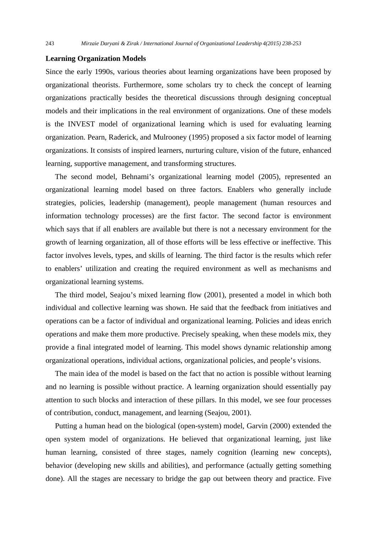# **Learning Organization Models**

Since the early 1990s, various theories about learning organizations have been proposed by organizational theorists. Furthermore, some scholars try to check the concept of learning organizations practically besides the theoretical discussions through designing conceptual models and their implications in the real environment of organizations. One of these models is the INVEST model of organizational learning which is used for evaluating learning organization. Pearn, Raderick, and Mulrooney (1995) proposed a six factor model of learning organizations. It consists of inspired learners, nurturing culture, vision of the future, enhanced learning, supportive management, and transforming structures.

 The second model, Behnami's organizational learning model (2005), represented an organizational learning model based on three factors. Enablers who generally include strategies, policies, leadership (management), people management (human resources and information technology processes) are the first factor. The second factor is environment which says that if all enablers are available but there is not a necessary environment for the growth of learning organization, all of those efforts will be less effective or ineffective. This factor involves levels, types, and skills of learning. The third factor is the results which refer to enablers' utilization and creating the required environment as well as mechanisms and organizational learning systems.

 The third model, Seajou's mixed learning flow (2001), presented a model in which both individual and collective learning was shown. He said that the feedback from initiatives and operations can be a factor of individual and organizational learning. Policies and ideas enrich operations and make them more productive. Precisely speaking, when these models mix, they provide a final integrated model of learning. This model shows dynamic relationship among organizational operations, individual actions, organizational policies, and people's visions.

 The main idea of the model is based on the fact that no action is possible without learning and no learning is possible without practice. A learning organization should essentially pay attention to such blocks and interaction of these pillars. In this model, we see four processes of contribution, conduct, management, and learning (Seajou, 2001).

 Putting a human head on the biological (open-system) model, Garvin (2000) extended the open system model of organizations. He believed that organizational learning, just like human learning, consisted of three stages, namely cognition (learning new concepts), behavior (developing new skills and abilities), and performance (actually getting something done). All the stages are necessary to bridge the gap out between theory and practice. Five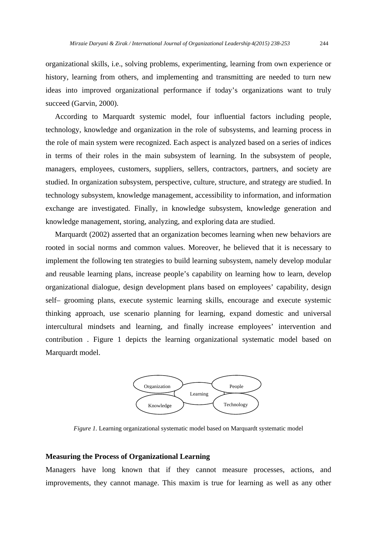organizational skills, i.e., solving problems, experimenting, learning from own experience or history, learning from others, and implementing and transmitting are needed to turn new ideas into improved organizational performance if today's organizations want to truly succeed (Garvin, 2000).

 According to Marquardt systemic model, four influential factors including people, technology, knowledge and organization in the role of subsystems, and learning process in the role of main system were recognized. Each aspect is analyzed based on a series of indices in terms of their roles in the main subsystem of learning. In the subsystem of people, managers, employees, customers, suppliers, sellers, contractors, partners, and society are studied. In organization subsystem, perspective, culture, structure, and strategy are studied. In technology subsystem, knowledge management, accessibility to information, and information exchange are investigated. Finally, in knowledge subsystem, knowledge generation and knowledge management, storing, analyzing, and exploring data are studied.

 Marquardt (2002) asserted that an organization becomes learning when new behaviors are rooted in social norms and common values. Moreover, he believed that it is necessary to implement the following ten strategies to build learning subsystem, namely develop modular and reusable learning plans, increase people's capability on learning how to learn, develop organizational dialogue, design development plans based on employees' capability, design self– grooming plans, execute systemic learning skills, encourage and execute systemic thinking approach, use scenario planning for learning, expand domestic and universal intercultural mindsets and learning, and finally increase employees' intervention and contribution . Figure 1 depicts the learning organizational systematic model based on Marquardt model.



*Figure 1.* Learning organizational systematic model based on Marquardt systematic model

#### **Measuring the Process of Organizational Learning**

Managers have long known that if they cannot measure processes, actions, and improvements, they cannot manage. This maxim is true for learning as well as any other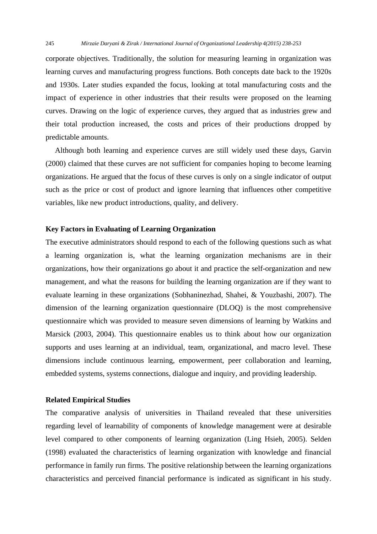corporate objectives. Traditionally, the solution for measuring learning in organization was learning curves and manufacturing progress functions. Both concepts date back to the 1920s and 1930s. Later studies expanded the focus, looking at total manufacturing costs and the impact of experience in other industries that their results were proposed on the learning curves. Drawing on the logic of experience curves, they argued that as industries grew and their total production increased, the costs and prices of their productions dropped by predictable amounts.

 Although both learning and experience curves are still widely used these days, Garvin (2000) claimed that these curves are not sufficient for companies hoping to become learning organizations. He argued that the focus of these curves is only on a single indicator of output such as the price or cost of product and ignore learning that influences other competitive variables, like new product introductions, quality, and delivery.

# **Key Factors in Evaluating of Learning Organization**

The executive administrators should respond to each of the following questions such as what a learning organization is, what the learning organization mechanisms are in their organizations, how their organizations go about it and practice the self-organization and new management, and what the reasons for building the learning organization are if they want to evaluate learning in these organizations (Sobhaninezhad, Shahei, & Youzbashi, 2007). The dimension of the learning organization questionnaire (DLOQ) is the most comprehensive questionnaire which was provided to measure seven dimensions of learning by Watkins and Marsick (2003, 2004). This questionnaire enables us to think about how our organization supports and uses learning at an individual, team, organizational, and macro level. These dimensions include continuous learning, empowerment, peer collaboration and learning, embedded systems, systems connections, dialogue and inquiry, and providing leadership.

#### **Related Empirical Studies**

The comparative analysis of universities in Thailand revealed that these universities regarding level of learnability of components of knowledge management were at desirable level compared to other components of learning organization (Ling Hsieh, 2005). Selden (1998) evaluated the characteristics of learning organization with knowledge and financial performance in family run firms. The positive relationship between the learning organizations characteristics and perceived financial performance is indicated as significant in his study.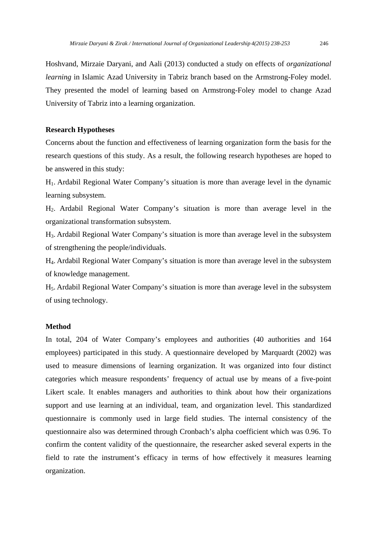Hoshvand, Mirzaie Daryani, and Aali (2013) conducted a study on effects of *organizational learning* in Islamic Azad University in Tabriz branch based on the Armstrong-Foley model. They presented the model of learning based on Armstrong-Foley model to change Azad University of Tabriz into a learning organization.

# **Research Hypotheses**

Concerns about the function and effectiveness of learning organization form the basis for the research questions of this study. As a result, the following research hypotheses are hoped to be answered in this study:

H1. Ardabil Regional Water Company's situation is more than average level in the dynamic learning subsystem.

H2. Ardabil Regional Water Company's situation is more than average level in the organizational transformation subsystem.

H3. Ardabil Regional Water Company's situation is more than average level in the subsystem of strengthening the people/individuals.

H4. Ardabil Regional Water Company's situation is more than average level in the subsystem of knowledge management.

H5. Ardabil Regional Water Company's situation is more than average level in the subsystem of using technology.

# **Method**

In total, 204 of Water Company's employees and authorities (40 authorities and 164 employees) participated in this study. A questionnaire developed by Marquardt (2002) was used to measure dimensions of learning organization. It was organized into four distinct categories which measure respondents' frequency of actual use by means of a five-point Likert scale. It enables managers and authorities to think about how their organizations support and use learning at an individual, team, and organization level. This standardized questionnaire is commonly used in large field studies. The internal consistency of the questionnaire also was determined through Cronbach's alpha coefficient which was 0.96. To confirm the content validity of the questionnaire, the researcher asked several experts in the field to rate the instrument's efficacy in terms of how effectively it measures learning organization.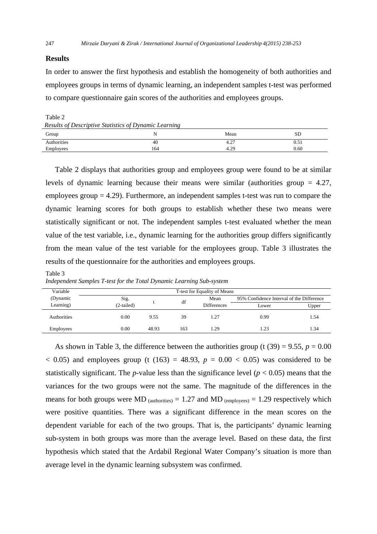# **Results**

In order to answer the first hypothesis and establish the homogeneity of both authorities and employees groups in terms of dynamic learning, an independent samples t-test was performed to compare questionnaire gain scores of the authorities and employees groups.

Table 2 *Results of Descriptive Statistics of Dynamic Learning* 

| Results of Descriptive statistics of D manuel Learning |     |      |      |
|--------------------------------------------------------|-----|------|------|
| Group                                                  |     | Mean | ЫL   |
| Authorities                                            | 40  | 4.4, | 0.51 |
| Employees                                              | 164 | 4.29 | 0.60 |
|                                                        |     |      |      |

 Table 2 displays that authorities group and employees group were found to be at similar levels of dynamic learning because their means were similar (authorities group = 4.27, employees group = 4.29). Furthermore, an independent samples t-test was run to compare the dynamic learning scores for both groups to establish whether these two means were statistically significant or not. The independent samples t*-*test evaluated whether the mean value of the test variable, i.e., dynamic learning for the authorities group differs significantly from the mean value of the test variable for the employees group. Table 3 illustrates the results of the questionnaire for the authorities and employees groups.

#### Table 3

*Independent Samples T-test for the Total Dynamic Learning Sub-system* 

| Variable    |            |       |     | T-test for Equality of Means |                                           |       |
|-------------|------------|-------|-----|------------------------------|-------------------------------------------|-------|
| (Dynamic    | Sig.       |       | df  | Mean                         | 95% Confidence Interval of the Difference |       |
| Learning)   | (2-tailed) |       |     | <b>Differences</b>           | Lower                                     | Upper |
| Authorities | 0.00       | 9.55  | 39  | 1.27                         | 0.99                                      | 1.54  |
| Employees   | 0.00       | 48.93 | 163 | 1.29                         | 1.23                                      | 1.34  |

As shown in Table 3, the difference between the authorities group (t  $(39) = 9.55$ ,  $p = 0.00$  $(163)$  and employees group (t (163) = 48.93,  $p = 0.00 \le 0.05$ ) was considered to be statistically significant. The *p*-value less than the significance level ( $p < 0.05$ ) means that the variances for the two groups were not the same. The magnitude of the differences in the means for both groups were MD  $_{\text{(authorities)}} = 1.27$  and MD  $_{\text{(employees)}} = 1.29$  respectively which were positive quantities. There was a significant difference in the mean scores on the dependent variable for each of the two groups. That is, the participants' dynamic learning sub-system in both groups was more than the average level. Based on these data, the first hypothesis which stated that the Ardabil Regional Water Company's situation is more than average level in the dynamic learning subsystem was confirmed.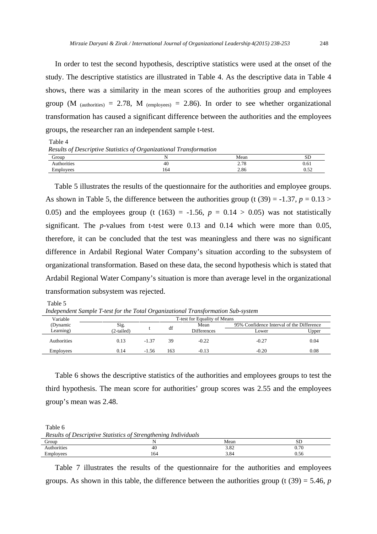In order to test the second hypothesis, descriptive statistics were used at the onset of the study. The descriptive statistics are illustrated in Table 4. As the descriptive data in Table 4 shows, there was a similarity in the mean scores of the authorities group and employees group (M  $_{(authorities)} = 2.78$ , M  $_{(employees)} = 2.86$ ). In order to see whether organizational transformation has caused a significant difference between the authorities and the employees groups, the researcher ran an independent sample t-test.

| Results of Descriptive Statistics of Organizational Transformation |     |      |      |  |  |  |  |
|--------------------------------------------------------------------|-----|------|------|--|--|--|--|
| Group                                                              |     | Mean | SD   |  |  |  |  |
| Authorities                                                        | 40  | 2.78 | 0.61 |  |  |  |  |
| Employees                                                          | 164 | 2.86 | 0.52 |  |  |  |  |

Table 5 illustrates the results of the questionnaire for the authorities and employee groups. As shown in Table 5, the difference between the authorities group (t  $(39) = -1.37$ ,  $p = 0.13 >$ 0.05) and the employees group (t (163) =  $-1.56$ ,  $p = 0.14 > 0.05$ ) was not statistically significant. The *p-*values from t-test were 0.13 and 0.14 which were more than 0.05, therefore, it can be concluded that the test was meaningless and there was no significant difference in Ardabil Regional Water Company's situation according to the subsystem of organizational transformation. Based on these data, the second hypothesis which is stated that Ardabil Regional Water Company's situation is more than average level in the organizational transformation subsystem was rejected.

Table 5

Table 4

*Independent Sample T-test for the Total Organizational Transformation Sub-system* 

| Variable    | T-test for Equality of Means |         |            |                    |                                           |       |  |
|-------------|------------------------------|---------|------------|--------------------|-------------------------------------------|-------|--|
| (Dynamic    | Sig.                         |         | Mean<br>df |                    | 95% Confidence Interval of the Difference |       |  |
| Learning)   | (2-tailed)                   |         |            | <b>Differences</b> | Lower                                     | Upper |  |
| Authorities | 0.13                         | $-1.37$ | 39         | $-0.22$            | $-0.27$                                   | 0.04  |  |
| Employees   | 0.14                         | $-1.56$ | 163        | $-0.13$            | $-0.20$                                   | 0.08  |  |

 Table 6 shows the descriptive statistics of the authorities and employees groups to test the third hypothesis. The mean score for authorities' group scores was 2.55 and the employees group's mean was 2.48.

| Table 6                                                        |     |      |           |  |  |  |
|----------------------------------------------------------------|-----|------|-----------|--|--|--|
| Results of Descriptive Statistics of Strengthening Individuals |     |      |           |  |  |  |
| Group                                                          |     | Mean | <b>SD</b> |  |  |  |
| Authorities                                                    | 40  | 3.82 | 0.70      |  |  |  |
| Employees                                                      | 164 | 3.84 | 0.56      |  |  |  |

 Table 7 illustrates the results of the questionnaire for the authorities and employees groups. As shown in this table, the difference between the authorities group (t (39) = 5.46, *p*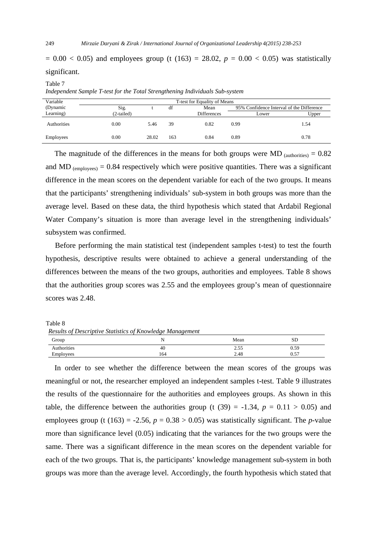$= 0.00 < 0.05$ ) and employees group (t (163) = 28.02,  $p = 0.00 < 0.05$ ) was statistically significant.

#### Table 7

*Independent Sample T-test for the Total Strengthening Individuals Sub-system* 

| Variable    | T-test for Equality of Means |       |     |                    |                                           |       |
|-------------|------------------------------|-------|-----|--------------------|-------------------------------------------|-------|
| (Dynamic    | Sig.                         |       | df  | Mean               | 95% Confidence Interval of the Difference |       |
| Learning)   | (2-tailed)                   |       |     | <b>Differences</b> | Lower                                     | Upper |
| Authorities | 0.00                         | 5.46  | 39  | 0.82               | 0.99                                      | 1.54  |
| Employees   | 0.00                         | 28.02 | 163 | 0.84               | 0.89                                      | 0.78  |

The magnitude of the differences in the means for both groups were MD  $_{\text{(authorities)}} = 0.82$ and MD  $_{(emploves)} = 0.84$  respectively which were positive quantities. There was a significant difference in the mean scores on the dependent variable for each of the two groups. It means that the participants' strengthening individuals' sub-system in both groups was more than the average level. Based on these data, the third hypothesis which stated that Ardabil Regional Water Company's situation is more than average level in the strengthening individuals' subsystem was confirmed.

 Before performing the main statistical test (independent samples t-test) to test the fourth hypothesis, descriptive results were obtained to achieve a general understanding of the differences between the means of the two groups, authorities and employees. Table 8 shows that the authorities group scores was 2.55 and the employees group's mean of questionnaire scores was 2.48.

 Table 8 *Results of Descriptive Statistics of Knowledge Management* 

|             | $\sim$ |                |                       |
|-------------|--------|----------------|-----------------------|
| Group       |        | Mean           | SL                    |
| Authorities | 40     | $ -$<br>ر ر. ب | 0.59                  |
| Employees   | 164    | 2.48           | $\overline{a}$<br>U.J |

In order to see whether the difference between the mean scores of the groups was meaningful or not, the researcher employed an independent samples t-test. Table 9 illustrates the results of the questionnaire for the authorities and employees groups. As shown in this table, the difference between the authorities group (t  $(39) = -1.34$ ,  $p = 0.11 > 0.05$ ) and employees group (t (163) = -2.56,  $p = 0.38 > 0.05$ ) was statistically significant. The *p*-value more than significance level (0.05) indicating that the variances for the two groups were the same. There was a significant difference in the mean scores on the dependent variable for each of the two groups. That is, the participants' knowledge management sub-system in both groups was more than the average level. Accordingly, the fourth hypothesis which stated that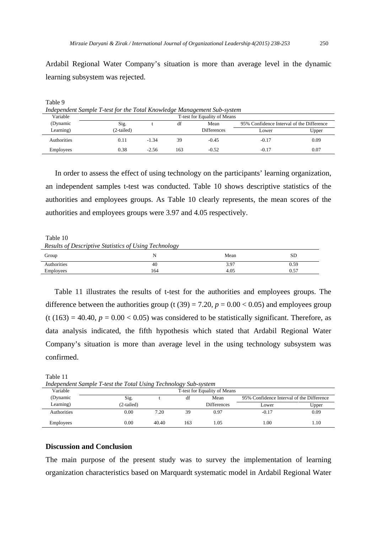Ardabil Regional Water Company's situation is more than average level in the dynamic learning subsystem was rejected.

| Independent Sample T-test for the Total Knowledge Management Sub-system |                              |         |     |                    |                                           |       |  |
|-------------------------------------------------------------------------|------------------------------|---------|-----|--------------------|-------------------------------------------|-------|--|
| Variable                                                                | T-test for Equality of Means |         |     |                    |                                           |       |  |
| (Dynamic                                                                | Sig.                         |         | df  | Mean               | 95% Confidence Interval of the Difference |       |  |
| Learning)                                                               | (2-tailed)                   |         |     | <b>Differences</b> | Lower                                     | Upper |  |
| Authorities                                                             | 0.11                         | $-1.34$ | 39  | $-0.45$            | $-0.17$                                   | 0.09  |  |
| Employees                                                               | 0.38                         | $-2.56$ | 163 | $-0.52$            | $-0.17$                                   | 0.07  |  |

Table 9

 In order to assess the effect of using technology on the participants' learning organization, an independent samples t-test was conducted. Table 10 shows descriptive statistics of the authorities and employees groups. As Table 10 clearly represents, the mean scores of the authorities and employees groups were 3.97 and 4.05 respectively.

Table 10 *Results of Descriptive Statistics of Using Technology* 

| Group       | ັ້<br>. . | Mean | SD   |
|-------------|-----------|------|------|
| Authorities | 40        | 3.97 | 0.59 |
| Employees   | 164       | 4.05 | 0.57 |

Table 11 illustrates the results of t-test for the authorities and employees groups. The difference between the authorities group (t  $(39) = 7.20$ ,  $p = 0.00 < 0.05$ ) and employees group  $(t (163) = 40.40, p = 0.00 < 0.05)$  was considered to be statistically significant. Therefore, as data analysis indicated, the fifth hypothesis which stated that Ardabil Regional Water Company's situation is more than average level in the using technology subsystem was confirmed.

| $1.000$ permits sumple 1 rest me 10000 0 sing 100.000 $\alpha$ / sm s / stem |                              |       |     |                    |                                           |       |
|------------------------------------------------------------------------------|------------------------------|-------|-----|--------------------|-------------------------------------------|-------|
| Variable                                                                     | T-test for Equality of Means |       |     |                    |                                           |       |
| (Dynamic                                                                     | Sig.                         |       | df  | Mean               | 95% Confidence Interval of the Difference |       |
| Learning)                                                                    | (2-tailed)                   |       |     | <b>Differences</b> | Lower                                     | Upper |
| <b>Authorities</b>                                                           | 0.00                         | 7.20  | 39  | 0.97               | $-0.17$                                   | 0.09  |
| <b>Employees</b>                                                             | 0.00                         | 40.40 | 163 | .05                | 1.00                                      | 1.10  |

Table 11 *Independent Sample T-test the Total Using Technology Sub-system* 

#### **Discussion and Conclusion**

The main purpose of the present study was to survey the implementation of learning organization characteristics based on Marquardt systematic model in Ardabil Regional Water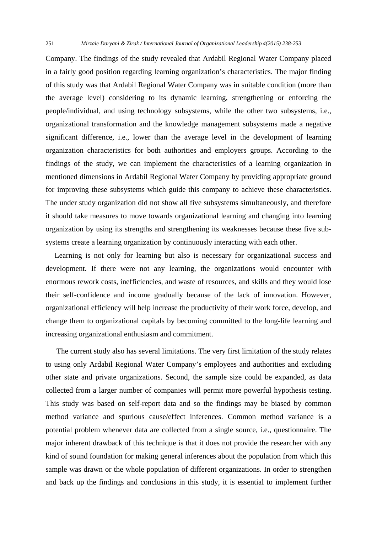251 *Mirzaie Daryani & Zirak / International Journal of Organizational Leadership 4(2015) 238-253*

Company. The findings of the study revealed that Ardabil Regional Water Company placed in a fairly good position regarding learning organization's characteristics. The major finding of this study was that Ardabil Regional Water Company was in suitable condition (more than the average level) considering to its dynamic learning, strengthening or enforcing the people/individual, and using technology subsystems, while the other two subsystems, i.e., organizational transformation and the knowledge management subsystems made a negative significant difference, i.e., lower than the average level in the development of learning organization characteristics for both authorities and employers groups. According to the findings of the study, we can implement the characteristics of a learning organization in mentioned dimensions in Ardabil Regional Water Company by providing appropriate ground for improving these subsystems which guide this company to achieve these characteristics. The under study organization did not show all five subsystems simultaneously, and therefore it should take measures to move towards organizational learning and changing into learning organization by using its strengths and strengthening its weaknesses because these five subsystems create a learning organization by continuously interacting with each other.

Learning is not only for learning but also is necessary for organizational success and development. If there were not any learning, the organizations would encounter with enormous rework costs, inefficiencies, and waste of resources, and skills and they would lose their self-confidence and income gradually because of the lack of innovation. However, organizational efficiency will help increase the productivity of their work force, develop, and change them to organizational capitals by becoming committed to the long-life learning and increasing organizational enthusiasm and commitment.

 The current study also has several limitations. The very first limitation of the study relates to using only Ardabil Regional Water Company's employees and authorities and excluding other state and private organizations. Second, the sample size could be expanded, as data collected from a larger number of companies will permit more powerful hypothesis testing. This study was based on self-report data and so the findings may be biased by common method variance and spurious cause/effect inferences. Common method variance is a potential problem whenever data are collected from a single source, i.e., questionnaire. The major inherent drawback of this technique is that it does not provide the researcher with any kind of sound foundation for making general inferences about the population from which this sample was drawn or the whole population of different organizations. In order to strengthen and back up the findings and conclusions in this study, it is essential to implement further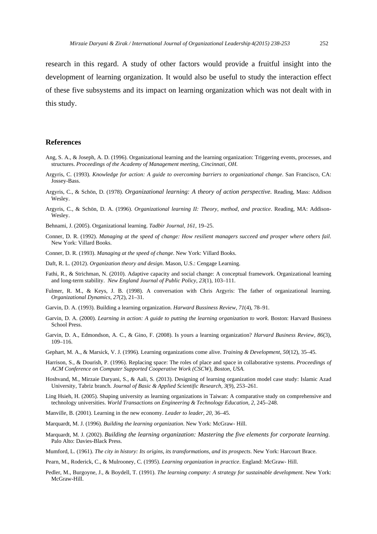research in this regard. A study of other factors would provide a fruitful insight into the development of learning organization. It would also be useful to study the interaction effect of these five subsystems and its impact on learning organization which was not dealt with in this study.

# **References**

- Ang, S. A., & Joseph, A. D. (1996). Organizational learning and the learning organization: Triggering events, processes, and structures. *Proceedings of the Academy of Management meeting, Cincinnati, OH.*
- Argyris, C. (1993). *Knowledge for action: A guide to overcoming barriers to organizational change*. San Francisco, CA: Jossey-Bass.
- Argyris, C., & Schön, D. (1978). *Organizational learning: A theory of action perspective.* Reading, Mass: Addison Wesley.
- Argyris, C., & Schön, D. A. (1996). *Organizational learning II: Theory, method, and practice*. Reading, MA: Addison-Wesley.
- Behnami, J. (2005). Organizational learning. *Tadbir Journal, 161*, 19–25.
- Conner, D. R. (1992). *Managing at the speed of change: How resilient managers succeed and prosper where others fail*. New York: Villard Books.
- Conner, D. R. (1993). *Managing at the speed of change*. New York: Villard Books.
- Daft, R. L. (2012). *Organization theory and design*. Mason, U.S.: Cengage Learning.
- Fathi, R., & Strichman, N. (2010). Adaptive capacity and social change: A conceptual framework. Organizational learning and long-term stability. *New England Journal of Public Policy, 23*(1), 103–111.
- Fulmer, R. M., & Keys, J. B. (1998). A conversation with Chris Argyris: The father of organizational learning. *Organizational Dynamics, 27*(2), 21–31.
- Garvin, D. A. (1993). Building a learning organization. *Harward Bussiness Review, 71*(4), 78–91.
- Garvin, D. A. (2000). *Learning in action: A guide to putting the learning organization to work*. Boston: Harvard Business School Press.
- Garvin, D. A., Edmondson, A. C., & Gino, F. (2008). Is yours a learning organization? *Harvard Business Review, 86*(3), 109–116.
- Gephart, M. A., & Marsick, V. J. (1996). Learning organizations come alive. *Training & Development, 50*(12), 35–45.
- Harrison, S., & Dourish, P. (1996). Replacing space: The roles of place and space in collaborative systems. *Proceedings of ACM Conference on Computer Supported Cooperative Work (CSCW), Boston, USA.*
- Hoshvand, M., Mirzaie Daryani, S., & Aali, S. (2013). Designing of learning organization model case study: Islamic Azad University, Tabriz branch. *Journal of Basic & Applied Scientific Research, 3*(9), 253–261.
- Ling Hsieh, H. (2005). Shaping university as learning organizations in Taiwan: A comparative study on comprehensive and technology universities. *World Transactions on Engineering & Technology Education, 2*, 245–248.
- Manville, B. (2001). Learning in the new economy. *Leader to leader, 20*, 36–45.
- Marquardt, M. J. (1996). *Building the learning organization*. New York: McGraw- Hill.
- Marquardt, M. J. (2002). *Building the learning organization: Mastering the five elements for corporate learning*. Palo Alto: Davies-Black Press.
- Mumford, L. (1961). *The city in history: Its origins, its transformations, and its prospects*. New York: Harcourt Brace.
- Pearn, M., Roderick, C., & Mulrooney, C. (1995). *Learning organization in practice*. England: McGraw- Hill.
- Pedler, M., Burgoyne, J., & Boydell, T. (1991). *The learning company: A strategy for sustainable development*. New York: McGraw-Hill.